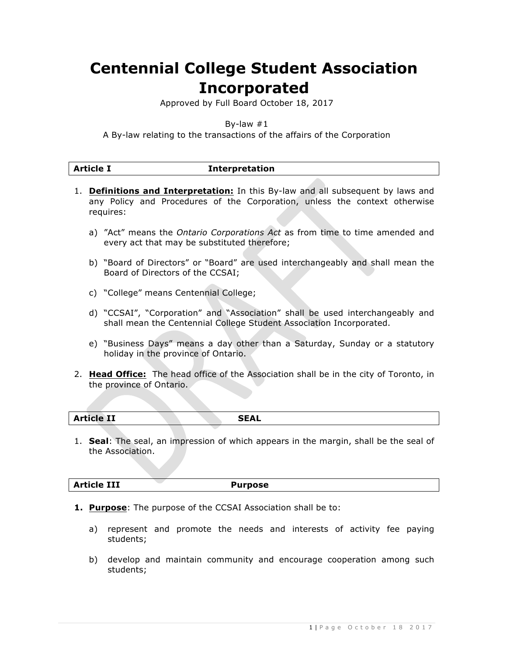# **Centennial College Student Association Incorporated**

Approved by Full Board October 18, 2017

By-law  $#1$ 

A By-law relating to the transactions of the affairs of the Corporation

| <b>Article I</b> | <b>Interpretation</b> |  |
|------------------|-----------------------|--|

- 1. **Definitions and Interpretation:** In this By-law and all subsequent by laws and any Policy and Procedures of the Corporation, unless the context otherwise requires:
	- a) "Act" means the *Ontario Corporations Act* as from time to time amended and every act that may be substituted therefore;
	- b) "Board of Directors" or "Board" are used interchangeably and shall mean the Board of Directors of the CCSAI;
	- c) "College" means Centennial College;
	- d) "CCSAI", "Corporation" and "Association" shall be used interchangeably and shall mean the Centennial College Student Association Incorporated.
	- e) "Business Days" means a day other than a Saturday, Sunday or a statutory holiday in the province of Ontario.
- 2. **Head Office:** The head office of the Association shall be in the city of Toronto, in the province of Ontario.

| $A = L = L \times T$<br><b>Article 11</b> |  | <b>CEAL</b><br><b>SEAL</b> |
|-------------------------------------------|--|----------------------------|
|                                           |  |                            |

1. **Seal**: The seal, an impression of which appears in the margin, shall be the seal of the Association.

**Article III Purpose**

- **1. Purpose**: The purpose of the CCSAI Association shall be to:
	- a) represent and promote the needs and interests of activity fee paying students;
	- b) develop and maintain community and encourage cooperation among such students;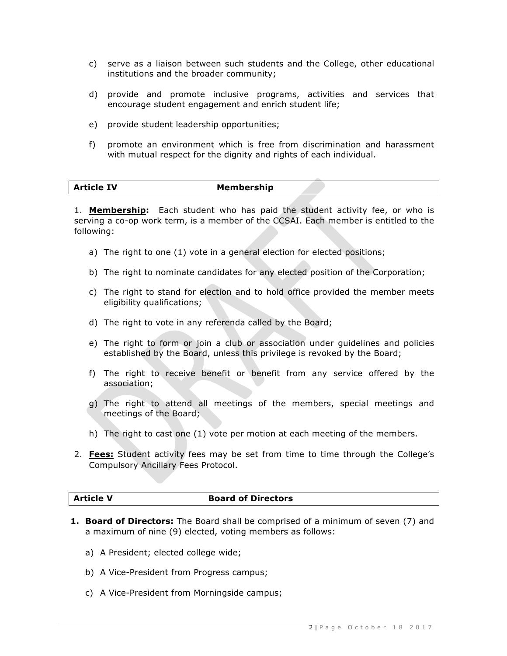- c) serve as a liaison between such students and the College, other educational institutions and the broader community;
- d) provide and promote inclusive programs, activities and services that encourage student engagement and enrich student life;
- e) provide student leadership opportunities;
- f) promote an environment which is free from discrimination and harassment with mutual respect for the dignity and rights of each individual.

| Membership |  |
|------------|--|
|            |  |

1. **Membership:** Each student who has paid the student activity fee, or who is serving a co-op work term, is a member of the CCSAI. Each member is entitled to the following:

- a) The right to one (1) vote in a general election for elected positions;
- b) The right to nominate candidates for any elected position of the Corporation;
- c) The right to stand for election and to hold office provided the member meets eligibility qualifications;
- d) The right to vote in any referenda called by the Board;
- e) The right to form or join a club or association under guidelines and policies established by the Board, unless this privilege is revoked by the Board;
- f) The right to receive benefit or benefit from any service offered by the association;
- g) The right to attend all meetings of the members, special meetings and meetings of the Board;
- h) The right to cast one (1) vote per motion at each meeting of the members.
- 2. **Fees:** Student activity fees may be set from time to time through the College's Compulsory Ancillary Fees Protocol.

#### **Article V Board of Directors**

- **1. Board of Directors:** The Board shall be comprised of a minimum of seven (7) and a maximum of nine (9) elected, voting members as follows:
	- a) A President; elected college wide;
	- b) A Vice-President from Progress campus;
	- c) A Vice-President from Morningside campus;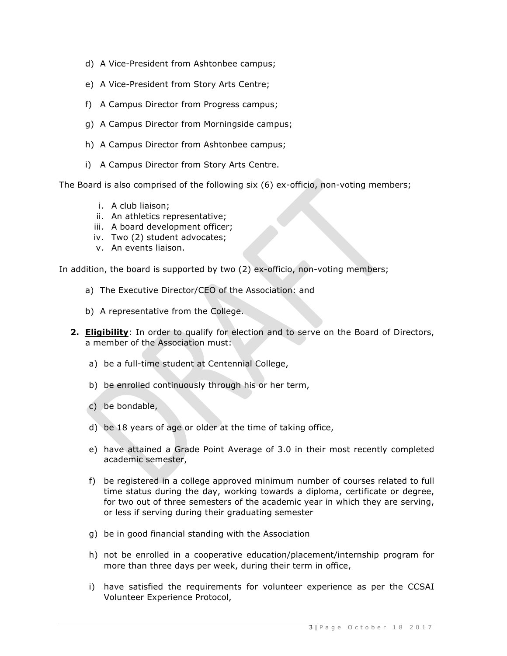- d) A Vice-President from Ashtonbee campus;
- e) A Vice-President from Story Arts Centre;
- f) A Campus Director from Progress campus;
- g) A Campus Director from Morningside campus;
- h) A Campus Director from Ashtonbee campus;
- i) A Campus Director from Story Arts Centre.

The Board is also comprised of the following six (6) ex-officio, non-voting members;

- i. A club liaison;
- ii. An athletics representative;
- iii. A board development officer;
- iv. Two (2) student advocates;
- v. An events liaison.

In addition, the board is supported by two (2) ex-officio, non-voting members;

- a) The Executive Director/CEO of the Association: and
- b) A representative from the College.
- **2. Eligibility**: In order to qualify for election and to serve on the Board of Directors, a member of the Association must:
	- a) be a full-time student at Centennial College,
	- b) be enrolled continuously through his or her term,
	- c) be bondable,
	- d) be 18 years of age or older at the time of taking office,
	- e) have attained a Grade Point Average of 3.0 in their most recently completed academic semester,
	- f) be registered in a college approved minimum number of courses related to full time status during the day, working towards a diploma, certificate or degree, for two out of three semesters of the academic year in which they are serving, or less if serving during their graduating semester
	- g) be in good financial standing with the Association
	- h) not be enrolled in a cooperative education/placement/internship program for more than three days per week, during their term in office,
	- i) have satisfied the requirements for volunteer experience as per the CCSAI Volunteer Experience Protocol,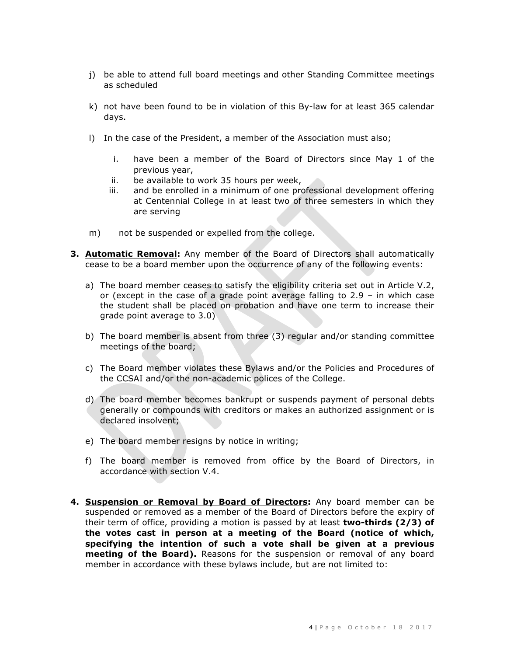- j) be able to attend full board meetings and other Standing Committee meetings as scheduled
- k) not have been found to be in violation of this By-law for at least 365 calendar days.
- l) In the case of the President, a member of the Association must also;
	- i. have been a member of the Board of Directors since May 1 of the previous year,
	- ii. be available to work 35 hours per week,
	- iii. and be enrolled in a minimum of one professional development offering at Centennial College in at least two of three semesters in which they are serving
- m) not be suspended or expelled from the college.
- **3. Automatic Removal:** Any member of the Board of Directors shall automatically cease to be a board member upon the occurrence of any of the following events:
	- a) The board member ceases to satisfy the eligibility criteria set out in Article V.2, or (except in the case of a grade point average falling to 2.9 – in which case the student shall be placed on probation and have one term to increase their grade point average to 3.0)
	- b) The board member is absent from three (3) regular and/or standing committee meetings of the board;
	- c) The Board member violates these Bylaws and/or the Policies and Procedures of the CCSAI and/or the non-academic polices of the College.
	- d) The board member becomes bankrupt or suspends payment of personal debts generally or compounds with creditors or makes an authorized assignment or is declared insolvent;
	- e) The board member resigns by notice in writing;
	- f) The board member is removed from office by the Board of Directors, in accordance with section V.4.
- **4. Suspension or Removal by Board of Directors:** Any board member can be suspended or removed as a member of the Board of Directors before the expiry of their term of office, providing a motion is passed by at least **two-thirds (2/3) of the votes cast in person at a meeting of the Board (notice of which, specifying the intention of such a vote shall be given at a previous meeting of the Board).** Reasons for the suspension or removal of any board member in accordance with these bylaws include, but are not limited to: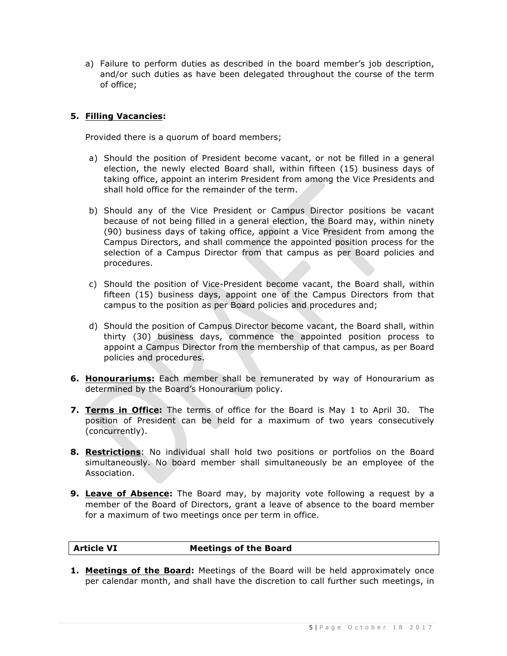a) Failure to perform duties as described in the board member's job description, and/or such duties as have been delegated throughout the course of the term of office;

### **5. Filling Vacancies:**

Provided there is a quorum of board members;

- a) Should the position of President become vacant, or not be filled in a general election, the newly elected Board shall, within fifteen (15) business days of taking office, appoint an interim President from among the Vice Presidents and shall hold office for the remainder of the term.
- b) Should any of the Vice President or Campus Director positions be vacant because of not being filled in a general election, the Board may, within ninety (90) business days of taking office, appoint a Vice President from among the Campus Directors, and shall commence the appointed position process for the selection of a Campus Director from that campus as per Board policies and procedures.
- c) Should the position of Vice-President become vacant, the Board shall, within fifteen (15) business days, appoint one of the Campus Directors from that campus to the position as per Board policies and procedures and;
- d) Should the position of Campus Director become vacant, the Board shall, within thirty (30) business days, commence the appointed position process to appoint a Campus Director from the membership of that campus, as per Board policies and procedures.
- **6. Honourariums:** Each member shall be remunerated by way of Honourarium as determined by the Board's Honourarium policy.
- **7. Terms in Office:** The terms of office for the Board is May 1 to April 30. The position of President can be held for a maximum of two years consecutively (concurrently).
- **8. Restrictions**: No individual shall hold two positions or portfolios on the Board simultaneously. No board member shall simultaneously be an employee of the Association.
- **9. Leave of Absence:** The Board may, by majority vote following a request by a member of the Board of Directors, grant a leave of absence to the board member for a maximum of two meetings once per term in office.

### **Article VI Meetings of the Board**

**1. Meetings of the Board:** Meetings of the Board will be held approximately once per calendar month, and shall have the discretion to call further such meetings, in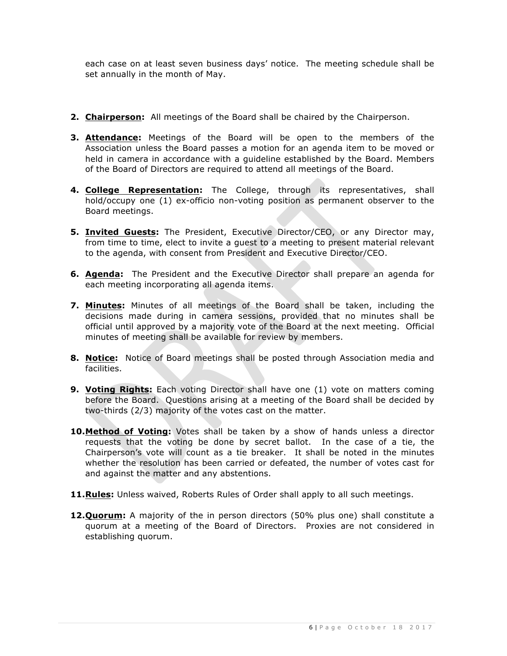each case on at least seven business days' notice. The meeting schedule shall be set annually in the month of May.

- **2. Chairperson:** All meetings of the Board shall be chaired by the Chairperson.
- **3. Attendance:** Meetings of the Board will be open to the members of the Association unless the Board passes a motion for an agenda item to be moved or held in camera in accordance with a guideline established by the Board. Members of the Board of Directors are required to attend all meetings of the Board.
- **4. College Representation:** The College, through its representatives, shall hold/occupy one (1) ex-officio non-voting position as permanent observer to the Board meetings.
- **5. Invited Guests:** The President, Executive Director/CEO, or any Director may, from time to time, elect to invite a guest to a meeting to present material relevant to the agenda, with consent from President and Executive Director/CEO.
- **6. Agenda:** The President and the Executive Director shall prepare an agenda for each meeting incorporating all agenda items.
- **7. Minutes:** Minutes of all meetings of the Board shall be taken, including the decisions made during in camera sessions, provided that no minutes shall be official until approved by a majority vote of the Board at the next meeting. Official minutes of meeting shall be available for review by members.
- **8. Notice:** Notice of Board meetings shall be posted through Association media and facilities.
- **9. Voting Rights:** Each voting Director shall have one (1) vote on matters coming before the Board. Questions arising at a meeting of the Board shall be decided by two-thirds (2/3) majority of the votes cast on the matter.
- **10.Method of Voting:** Votes shall be taken by a show of hands unless a director requests that the voting be done by secret ballot. In the case of a tie, the Chairperson's vote will count as a tie breaker. It shall be noted in the minutes whether the resolution has been carried or defeated, the number of votes cast for and against the matter and any abstentions.
- **11.Rules:** Unless waived, Roberts Rules of Order shall apply to all such meetings.
- **12.Quorum:** A majority of the in person directors (50% plus one) shall constitute a quorum at a meeting of the Board of Directors. Proxies are not considered in establishing quorum.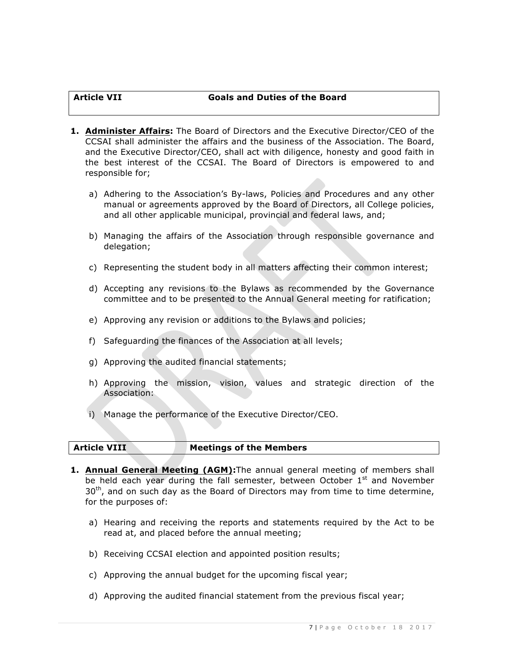### **Article VII Goals and Duties of the Board**

- **1. Administer Affairs:** The Board of Directors and the Executive Director/CEO of the CCSAI shall administer the affairs and the business of the Association. The Board, and the Executive Director/CEO, shall act with diligence, honesty and good faith in the best interest of the CCSAI. The Board of Directors is empowered to and responsible for;
	- a) Adhering to the Association's By-laws, Policies and Procedures and any other manual or agreements approved by the Board of Directors, all College policies, and all other applicable municipal, provincial and federal laws, and;
	- b) Managing the affairs of the Association through responsible governance and delegation;
	- c) Representing the student body in all matters affecting their common interest;
	- d) Accepting any revisions to the Bylaws as recommended by the Governance committee and to be presented to the Annual General meeting for ratification;
	- e) Approving any revision or additions to the Bylaws and policies;
	- f) Safeguarding the finances of the Association at all levels;
	- g) Approving the audited financial statements;
	- h) Approving the mission, vision, values and strategic direction of the Association:
	- i) Manage the performance of the Executive Director/CEO.

### **Article VIII Meetings of the Members**

- **1. Annual General Meeting (AGM):**The annual general meeting of members shall be held each year during the fall semester, between October  $1<sup>st</sup>$  and November  $30<sup>th</sup>$ , and on such day as the Board of Directors may from time to time determine, for the purposes of:
	- a) Hearing and receiving the reports and statements required by the Act to be read at, and placed before the annual meeting;
	- b) Receiving CCSAI election and appointed position results;
	- c) Approving the annual budget for the upcoming fiscal year;
	- d) Approving the audited financial statement from the previous fiscal year;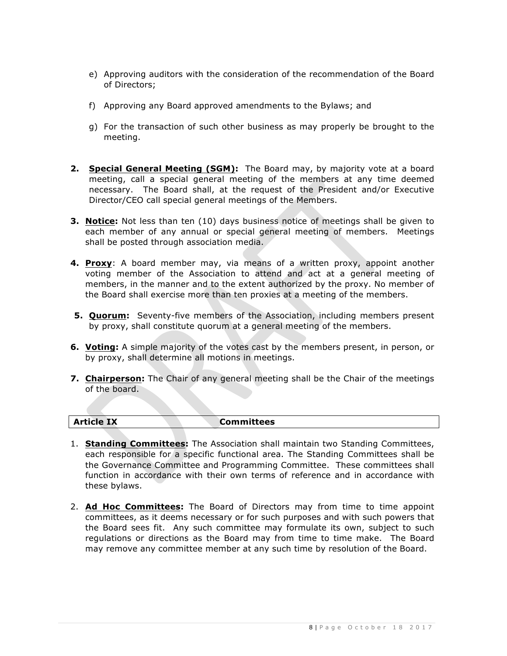- e) Approving auditors with the consideration of the recommendation of the Board of Directors;
- f) Approving any Board approved amendments to the Bylaws; and
- g) For the transaction of such other business as may properly be brought to the meeting.
- **2. Special General Meeting (SGM):** The Board may, by majority vote at a board meeting, call a special general meeting of the members at any time deemed necessary. The Board shall, at the request of the President and/or Executive Director/CEO call special general meetings of the Members.
- **3. Notice:** Not less than ten (10) days business notice of meetings shall be given to each member of any annual or special general meeting of members. Meetings shall be posted through association media.
- **4. Proxy**: A board member may, via means of a written proxy, appoint another voting member of the Association to attend and act at a general meeting of members, in the manner and to the extent authorized by the proxy. No member of the Board shall exercise more than ten proxies at a meeting of the members.
- **5. Quorum:** Seventy-five members of the Association, including members present by proxy, shall constitute quorum at a general meeting of the members.
- **6. Voting:** A simple majority of the votes cast by the members present, in person, or by proxy, shall determine all motions in meetings.
- **7. Chairperson:** The Chair of any general meeting shall be the Chair of the meetings of the board.

| <b>Article IX</b> | Committees |
|-------------------|------------|
|                   |            |

- 1. **Standing Committees:** The Association shall maintain two Standing Committees, each responsible for a specific functional area. The Standing Committees shall be the Governance Committee and Programming Committee. These committees shall function in accordance with their own terms of reference and in accordance with these bylaws.
- 2. **Ad Hoc Committees:** The Board of Directors may from time to time appoint committees, as it deems necessary or for such purposes and with such powers that the Board sees fit. Any such committee may formulate its own, subject to such regulations or directions as the Board may from time to time make. The Board may remove any committee member at any such time by resolution of the Board.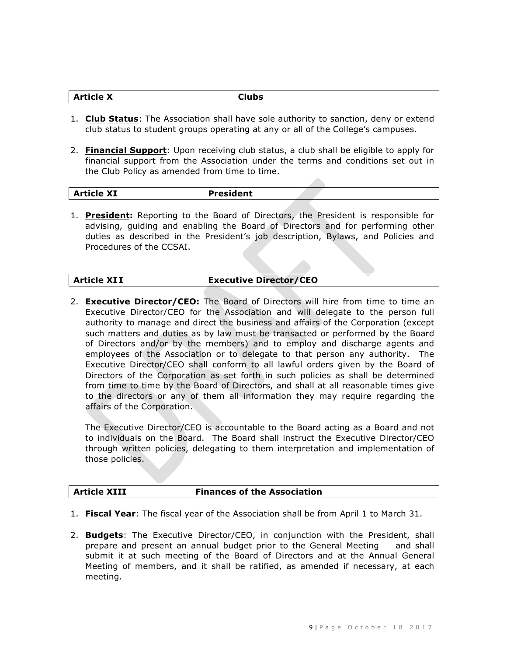| <b>Article X</b> | <b>Clubs</b> |
|------------------|--------------|
|                  |              |

- 1. **Club Status**: The Association shall have sole authority to sanction, deny or extend club status to student groups operating at any or all of the College's campuses.
- 2. **Financial Support**: Upon receiving club status, a club shall be eligible to apply for financial support from the Association under the terms and conditions set out in the Club Policy as amended from time to time.

| <b>Article XI</b><br><b>President</b> |  |
|---------------------------------------|--|
|---------------------------------------|--|

1. **President:** Reporting to the Board of Directors, the President is responsible for advising, guiding and enabling the Board of Directors and for performing other duties as described in the President's job description, Bylaws, and Policies and Procedures of the CCSAI.

#### **Article XI I Executive Director/CEO**

2. **Executive Director/CEO:** The Board of Directors will hire from time to time an Executive Director/CEO for the Association and will delegate to the person full authority to manage and direct the business and affairs of the Corporation (except such matters and duties as by law must be transacted or performed by the Board of Directors and/or by the members) and to employ and discharge agents and employees of the Association or to delegate to that person any authority. The Executive Director/CEO shall conform to all lawful orders given by the Board of Directors of the Corporation as set forth in such policies as shall be determined from time to time by the Board of Directors, and shall at all reasonable times give to the directors or any of them all information they may require regarding the affairs of the Corporation.

The Executive Director/CEO is accountable to the Board acting as a Board and not to individuals on the Board. The Board shall instruct the Executive Director/CEO through written policies, delegating to them interpretation and implementation of those policies.

#### **Article XIII Finances of the Association**

- 1. **Fiscal Year**: The fiscal year of the Association shall be from April 1 to March 31.
- 2. **Budgets**: The Executive Director/CEO, in conjunction with the President, shall prepare and present an annual budget prior to the General Meeting  $-$  and shall submit it at such meeting of the Board of Directors and at the Annual General Meeting of members, and it shall be ratified, as amended if necessary, at each meeting.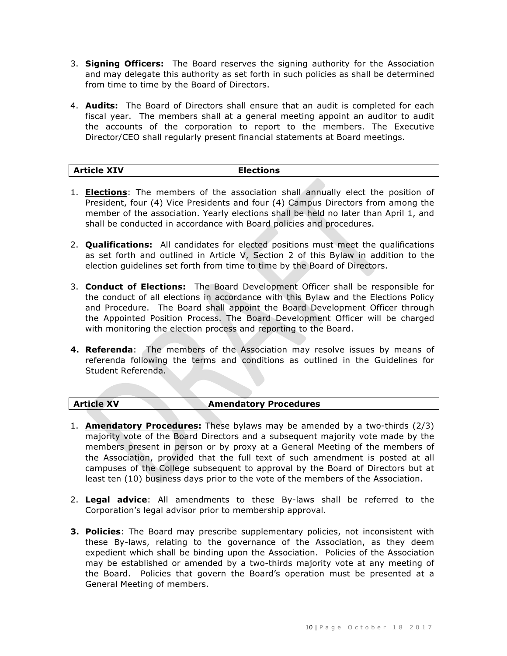- 3. **Signing Officers:** The Board reserves the signing authority for the Association and may delegate this authority as set forth in such policies as shall be determined from time to time by the Board of Directors.
- 4. **Audits:** The Board of Directors shall ensure that an audit is completed for each fiscal year. The members shall at a general meeting appoint an auditor to audit the accounts of the corporation to report to the members. The Executive Director/CEO shall regularly present financial statements at Board meetings.

## **Article XIV Elections**

- 1. **Elections**: The members of the association shall annually elect the position of President, four (4) Vice Presidents and four (4) Campus Directors from among the member of the association. Yearly elections shall be held no later than April 1, and shall be conducted in accordance with Board policies and procedures.
- 2. **Qualifications:** All candidates for elected positions must meet the qualifications as set forth and outlined in Article V, Section 2 of this Bylaw in addition to the election guidelines set forth from time to time by the Board of Directors.
- 3. **Conduct of Elections:** The Board Development Officer shall be responsible for the conduct of all elections in accordance with this Bylaw and the Elections Policy and Procedure. The Board shall appoint the Board Development Officer through the Appointed Position Process. The Board Development Officer will be charged with monitoring the election process and reporting to the Board.
- **4. Referenda**: The members of the Association may resolve issues by means of referenda following the terms and conditions as outlined in the Guidelines for Student Referenda.

#### **Article XV Amendatory Procedures**

- 1. **Amendatory Procedures:** These bylaws may be amended by a two-thirds (2/3) majority vote of the Board Directors and a subsequent majority vote made by the members present in person or by proxy at a General Meeting of the members of the Association, provided that the full text of such amendment is posted at all campuses of the College subsequent to approval by the Board of Directors but at least ten (10) business days prior to the vote of the members of the Association.
- 2. **Legal advice**: All amendments to these By-laws shall be referred to the Corporation's legal advisor prior to membership approval.
- **3. Policies**: The Board may prescribe supplementary policies, not inconsistent with these By-laws, relating to the governance of the Association, as they deem expedient which shall be binding upon the Association. Policies of the Association may be established or amended by a two-thirds majority vote at any meeting of the Board. Policies that govern the Board's operation must be presented at a General Meeting of members.